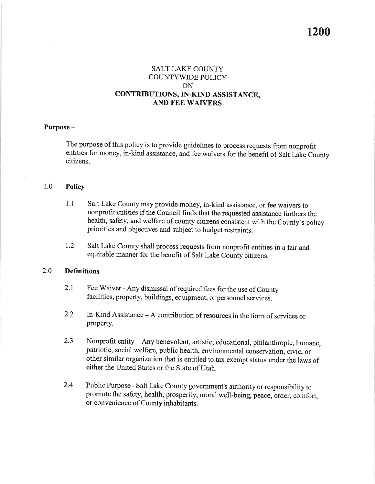### **SALT LAKE COUNTY COUNTYWIDE POLICY** ON CONTRIBUTIONS, IN-KIND ASSISTANCE, **AND FEE WAIVERS**

### Purpose-

The purpose of this policy is to provide guidelines to process requests from nonprofit entities for money, in-kind assistance, and fee waivers for the benefit of Salt Lake County citizens.

#### 1.0 **Policy**

- $1.1$ Salt Lake County may provide money, in-kind assistance, or fee waivers to nonprofit entities if the Council finds that the requested assistance furthers the health, safety, and welfare of county citizens consistent with the County's policy priorities and objectives and subject to budget restraints.
- $1.2$ Salt Lake County shall process requests from nonprofit entities in a fair and equitable manner for the benefit of Salt Lake County citizens.

#### $2.0$ **Definitions**

- Fee Waiver Any dismissal of required fees for the use of County  $2.1$ facilities, property, buildings, equipment, or personnel services.
- 2.2 In-Kind Assistance  $-A$  contribution of resources in the form of services or property.
- $2.3$ Nonprofit entity - Any benevolent, artistic, educational, philanthropic, humane, patriotic, social welfare, public health, environmental conservation, civic, or other similar organization that is entitled to tax exempt status under the laws of either the United States or the State of Utah.
- 2.4 Public Purpose - Salt Lake County government's authority or responsibility to promote the safety, health, prosperity, moral well-being, peace, order, comfort, or convenience of County inhabitants.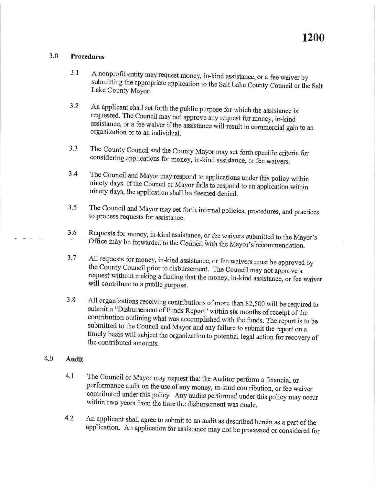#### $3.0$ **Procedures**

- $3.1$ A nonprofit entity may request money, in-kind assistance, or a fee waiver by submitting the appropriate application to the Salt Lake County Council or the Salt Lake County Mayor.
- $3.2$ An applicant shall set forth the public purpose for which the assistance is requested. The Council may not approve any request for money, in-kind assistance, or a fee waiver if the assistance will result in commercial gain to an organization or to an individual.
- $3.3$ The County Council and the County Mayor may set forth specific criteria for considering applications for money, in-kind assistance, or fee waivers.
- The Council and Mayor may respond to applications under this policy within  $3.4$ ninety days. If the Council or Mayor fails to respond to an application within ninety days, the application shall be deemed denied.
- The Council and Mayor may set forth internal policies, procedures, and practices  $3.5$ to process requests for assistance.
- Requests for money, in-kind assistance, or fee waivers submitted to the Mayor's 3.6 Office may be forwarded to the Council with the Mayor's recommendation.
- $3.7$ All requests for money, in-kind assistance, or fee waivers must be approved by the County Council prior to disbursement. The Council may not approve a request without making a finding that the money, in-kind assistance, or fee waiver will contribute to a public purpose.
- 3.8 All organizations receiving contributions of more than \$2,500 will be required to submit a "Disbursement of Funds Report" within six months of receipt of the contribution outlining what was accomplished with the funds. The report is to be submitted to the Council and Mayor and any failure to submit the report on a timely basis will subject the organization to potential legal action for recovery of the contributed amounts.

#### $4.0$ **Audit**

- $4.1$ The Council or Mayor may request that the Auditor perform a financial or performance audit on the use of any money, in-kind contribution, or fee waiver contributed under this policy. Any audits performed under this policy may occur within two years from the time the disbursement was made.
- $4.2$ An applicant shall agree to submit to an audit as described herein as a part of the application. An application for assistance may not be processed or considered for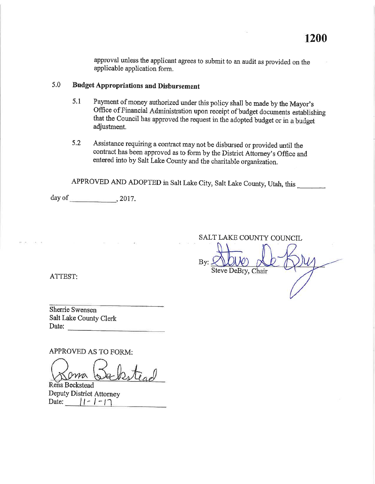approval unless the applicant agrees to submit to an audit as provided on the applicable application form.

#### $5.0$ **Budget Appropriations and Disbursement**

- Payment of money authorized under this policy shall be made by the Mayor's  $5.1$ Office of Financial Administration upon receipt of budget documents establishing that the Council has approved the request in the adopted budget or in a budget adjustment.
- $5.2$ Assistance requiring a contract may not be disbursed or provided until the contract has been approved as to form by the District Attorney's Office and entered into by Salt Lake County and the charitable organization.

APPROVED AND ADOPTED in Salt Lake City, Salt Lake County, Utah, this

day of  $\qquad \qquad$  , 2017.

 $\Omega$  . <br> <br> :  $\Omega$ 

 $\overline{\mathbb{R}^n}$ 

SALT LAKE COUNTY COUNCIL

 $\operatorname{By:}\nolimits$ Steve DeBry, Chair

ATTEST:

Sherrie Swensen Salt Lake County Clerk Date:

APPROVED AS TO FORM:

Rena Beckstead Deputy District Attorney Date:  $||-| - |$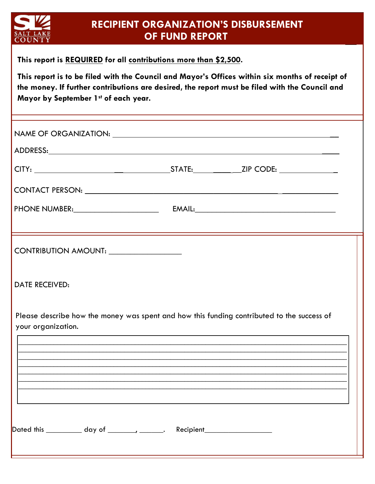

## **RECIPIENT ORGANIZATION'S DISBURSEMENT OF FUND REPORT**

**This report is REQUIRED for all contributions more than \$2,500.** 

**This report is to be filed with the Council and Mayor's Offices within six months of receipt of the money. If further contributions are desired, the report must be filed with the Council and Mayor by September 1st of each year.** 

| NAME OF ORGANIZATION: NAME OF ORGANIZATION:                                                                      |                                                                                  |  |
|------------------------------------------------------------------------------------------------------------------|----------------------------------------------------------------------------------|--|
|                                                                                                                  |                                                                                  |  |
|                                                                                                                  |                                                                                  |  |
|                                                                                                                  |                                                                                  |  |
|                                                                                                                  |                                                                                  |  |
|                                                                                                                  |                                                                                  |  |
|                                                                                                                  |                                                                                  |  |
| <b>DATE RECEIVED:</b>                                                                                            |                                                                                  |  |
| Please describe how the money was spent and how this funding contributed to the success of<br>your organization. | ,我们也不会有什么。""我们的人,我们也不会有什么?""我们的人,我们也不会有什么?""我们的人,我们也不会有什么?""我们的人,我们也不会有什么?""我们的人 |  |
|                                                                                                                  |                                                                                  |  |
|                                                                                                                  |                                                                                  |  |
|                                                                                                                  |                                                                                  |  |
|                                                                                                                  |                                                                                  |  |
| Dated this ____________ day of ________, _______. Recipient_____________________                                 |                                                                                  |  |
|                                                                                                                  |                                                                                  |  |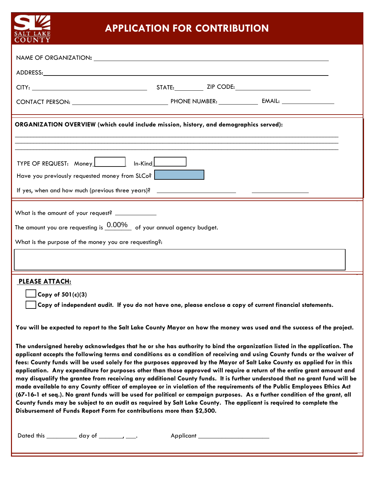

## **APPLICATION FOR CONTRIBUTION**

| ORGANIZATION OVERVIEW (which could include mission, history, and demographics served):                                                                                                                                                                                                                                                                                                                                                                                                                                                                                                                                                                                                                                                                                                                                                                                                                                                                                                                                                                                                               |
|------------------------------------------------------------------------------------------------------------------------------------------------------------------------------------------------------------------------------------------------------------------------------------------------------------------------------------------------------------------------------------------------------------------------------------------------------------------------------------------------------------------------------------------------------------------------------------------------------------------------------------------------------------------------------------------------------------------------------------------------------------------------------------------------------------------------------------------------------------------------------------------------------------------------------------------------------------------------------------------------------------------------------------------------------------------------------------------------------|
|                                                                                                                                                                                                                                                                                                                                                                                                                                                                                                                                                                                                                                                                                                                                                                                                                                                                                                                                                                                                                                                                                                      |
| TYPE OF REQUEST: Money   In-Kind<br>Have you previously requested money from SLCo?                                                                                                                                                                                                                                                                                                                                                                                                                                                                                                                                                                                                                                                                                                                                                                                                                                                                                                                                                                                                                   |
|                                                                                                                                                                                                                                                                                                                                                                                                                                                                                                                                                                                                                                                                                                                                                                                                                                                                                                                                                                                                                                                                                                      |
|                                                                                                                                                                                                                                                                                                                                                                                                                                                                                                                                                                                                                                                                                                                                                                                                                                                                                                                                                                                                                                                                                                      |
| What is the amount of your request? ____________                                                                                                                                                                                                                                                                                                                                                                                                                                                                                                                                                                                                                                                                                                                                                                                                                                                                                                                                                                                                                                                     |
| The amount you are requesting is $0.00\%$ of your annual agency budget.                                                                                                                                                                                                                                                                                                                                                                                                                                                                                                                                                                                                                                                                                                                                                                                                                                                                                                                                                                                                                              |
| What is the purpose of the money you are requesting?:                                                                                                                                                                                                                                                                                                                                                                                                                                                                                                                                                                                                                                                                                                                                                                                                                                                                                                                                                                                                                                                |
|                                                                                                                                                                                                                                                                                                                                                                                                                                                                                                                                                                                                                                                                                                                                                                                                                                                                                                                                                                                                                                                                                                      |
| <b>PLEASE ATTACH:</b>                                                                                                                                                                                                                                                                                                                                                                                                                                                                                                                                                                                                                                                                                                                                                                                                                                                                                                                                                                                                                                                                                |
| $\sqrt{C_{\text{opy of }501(c)(3)}}$<br>Copy of independent audit. If you do not have one, please enclose a copy of current financial statements.                                                                                                                                                                                                                                                                                                                                                                                                                                                                                                                                                                                                                                                                                                                                                                                                                                                                                                                                                    |
| You will be expected to report to the Salt Lake County Mayor on how the money was used and the success of the project.                                                                                                                                                                                                                                                                                                                                                                                                                                                                                                                                                                                                                                                                                                                                                                                                                                                                                                                                                                               |
| The undersigned hereby acknowledges that he or she has authority to bind the organization listed in the application. The<br>applicant accepts the following terms and conditions as a condition of receiving and using County funds or the waiver of<br>fees: County funds will be used solely for the purposes approved by the Mayor of Salt Lake County as applied for in this<br>application. Any expenditure for purposes other than those approved will require a return of the entire grant amount and<br>may disqualify the grantee from receiving any additional County funds. It is further understood that no grant fund will be<br>made available to any County officer of employee or in violation of the requirements of the Public Employees Ethics Act<br>(67-16-1 et seq.). No grant funds will be used for political or campaign purposes. As a further condition of the grant, all<br>County funds may be subject to an audit as required by Salt Lake County. The applicant is required to complete the<br>Disbursement of Funds Report Form for contributions more than \$2,500. |
| Dated this $\_\_\_\_\_$ day of $\_\_\_\_\_\_\_\$                                                                                                                                                                                                                                                                                                                                                                                                                                                                                                                                                                                                                                                                                                                                                                                                                                                                                                                                                                                                                                                     |